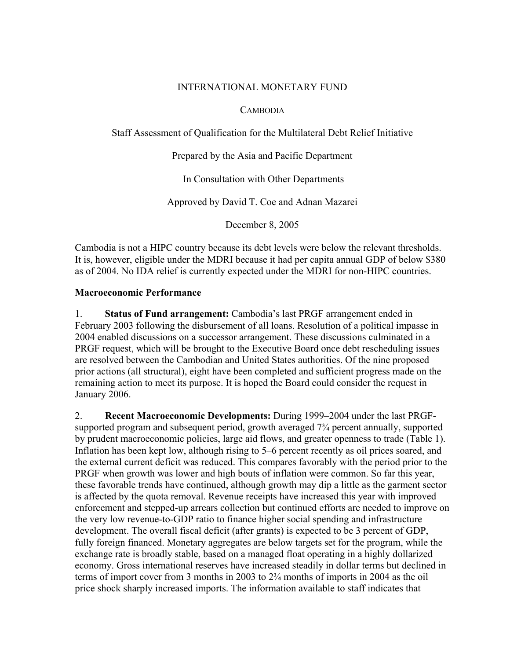### INTERNATIONAL MONETARY FUND

### CAMBODIA

Staff Assessment of Qualification for the Multilateral Debt Relief Initiative

Prepared by the Asia and Pacific Department

In Consultation with Other Departments

Approved by David T. Coe and Adnan Mazarei

December 8, 2005

Cambodia is not a HIPC country because its debt levels were below the relevant thresholds. It is, however, eligible under the MDRI because it had per capita annual GDP of below \$380 as of 2004. No IDA relief is currently expected under the MDRI for non-HIPC countries.

### **Macroeconomic Performance**

1. **Status of Fund arrangement:** Cambodia's last PRGF arrangement ended in February 2003 following the disbursement of all loans. Resolution of a political impasse in 2004 enabled discussions on a successor arrangement. These discussions culminated in a PRGF request, which will be brought to the Executive Board once debt rescheduling issues are resolved between the Cambodian and United States authorities. Of the nine proposed prior actions (all structural), eight have been completed and sufficient progress made on the remaining action to meet its purpose. It is hoped the Board could consider the request in January 2006.

2. **Recent Macroeconomic Developments:** During 1999–2004 under the last PRGFsupported program and subsequent period, growth averaged  $7\frac{3}{4}$  percent annually, supported by prudent macroeconomic policies, large aid flows, and greater openness to trade (Table 1). Inflation has been kept low, although rising to 5–6 percent recently as oil prices soared, and the external current deficit was reduced. This compares favorably with the period prior to the PRGF when growth was lower and high bouts of inflation were common. So far this year, these favorable trends have continued, although growth may dip a little as the garment sector is affected by the quota removal. Revenue receipts have increased this year with improved enforcement and stepped-up arrears collection but continued efforts are needed to improve on the very low revenue-to-GDP ratio to finance higher social spending and infrastructure development. The overall fiscal deficit (after grants) is expected to be 3 percent of GDP, fully foreign financed. Monetary aggregates are below targets set for the program, while the exchange rate is broadly stable, based on a managed float operating in a highly dollarized economy. Gross international reserves have increased steadily in dollar terms but declined in terms of import cover from 3 months in 2003 to 2¾ months of imports in 2004 as the oil price shock sharply increased imports. The information available to staff indicates that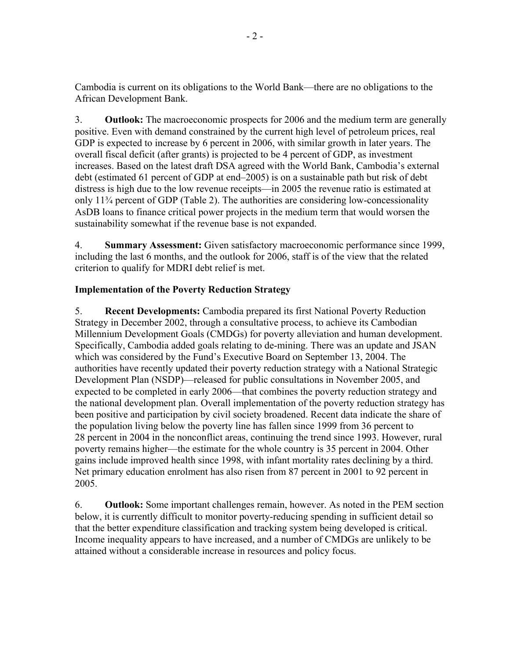Cambodia is current on its obligations to the World Bank—there are no obligations to the African Development Bank.

3. **Outlook:** The macroeconomic prospects for 2006 and the medium term are generally positive. Even with demand constrained by the current high level of petroleum prices, real GDP is expected to increase by 6 percent in 2006, with similar growth in later years. The overall fiscal deficit (after grants) is projected to be 4 percent of GDP, as investment increases. Based on the latest draft DSA agreed with the World Bank, Cambodia's external debt (estimated 61 percent of GDP at end–2005) is on a sustainable path but risk of debt distress is high due to the low revenue receipts—in 2005 the revenue ratio is estimated at only 11¾ percent of GDP (Table 2). The authorities are considering low-concessionality AsDB loans to finance critical power projects in the medium term that would worsen the sustainability somewhat if the revenue base is not expanded.

4. **Summary Assessment:** Given satisfactory macroeconomic performance since 1999, including the last 6 months, and the outlook for 2006, staff is of the view that the related criterion to qualify for MDRI debt relief is met.

# **Implementation of the Poverty Reduction Strategy**

5. **Recent Developments:** Cambodia prepared its first National Poverty Reduction Strategy in December 2002, through a consultative process, to achieve its Cambodian Millennium Development Goals (CMDGs) for poverty alleviation and human development. Specifically, Cambodia added goals relating to de-mining. There was an update and JSAN which was considered by the Fund's Executive Board on September 13, 2004. The authorities have recently updated their poverty reduction strategy with a National Strategic Development Plan (NSDP)—released for public consultations in November 2005, and expected to be completed in early 2006—that combines the poverty reduction strategy and the national development plan. Overall implementation of the poverty reduction strategy has been positive and participation by civil society broadened. Recent data indicate the share of the population living below the poverty line has fallen since 1999 from 36 percent to 28 percent in 2004 in the nonconflict areas, continuing the trend since 1993. However, rural poverty remains higher—the estimate for the whole country is 35 percent in 2004. Other gains include improved health since 1998, with infant mortality rates declining by a third. Net primary education enrolment has also risen from 87 percent in 2001 to 92 percent in 2005.

6. **Outlook:** Some important challenges remain, however. As noted in the PEM section below, it is currently difficult to monitor poverty-reducing spending in sufficient detail so that the better expenditure classification and tracking system being developed is critical. Income inequality appears to have increased, and a number of CMDGs are unlikely to be attained without a considerable increase in resources and policy focus.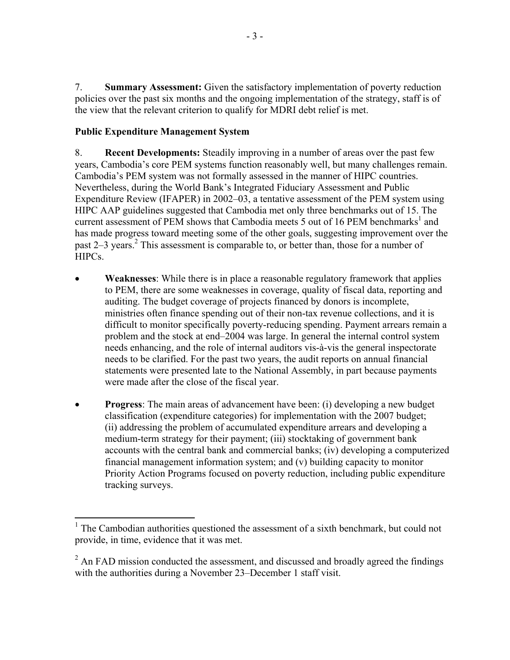7. **Summary Assessment:** Given the satisfactory implementation of poverty reduction policies over the past six months and the ongoing implementation of the strategy, staff is of the view that the relevant criterion to qualify for MDRI debt relief is met.

## **Public Expenditure Management System**

1

8. **Recent Developments:** Steadily improving in a number of areas over the past few years, Cambodia's core PEM systems function reasonably well, but many challenges remain. Cambodia's PEM system was not formally assessed in the manner of HIPC countries. Nevertheless, during the World Bank's Integrated Fiduciary Assessment and Public Expenditure Review (IFAPER) in 2002–03, a tentative assessment of the PEM system using HIPC AAP guidelines suggested that Cambodia met only three benchmarks out of 15. The current assessment of PEM shows that Cambodia meets  $\overline{5}$  out of 16 PEM benchmarks<sup>1</sup> and has made progress toward meeting some of the other goals, suggesting improvement over the past 2–3 years.<sup>2</sup> This assessment is comparable to, or better than, those for a number of HIPCs.

- **Weaknesses**: While there is in place a reasonable regulatory framework that applies to PEM, there are some weaknesses in coverage, quality of fiscal data, reporting and auditing. The budget coverage of projects financed by donors is incomplete, ministries often finance spending out of their non-tax revenue collections, and it is difficult to monitor specifically poverty-reducing spending. Payment arrears remain a problem and the stock at end–2004 was large. In general the internal control system needs enhancing, and the role of internal auditors vis-à-vis the general inspectorate needs to be clarified. For the past two years, the audit reports on annual financial statements were presented late to the National Assembly, in part because payments were made after the close of the fiscal year.
- **Progress**: The main areas of advancement have been: (i) developing a new budget classification (expenditure categories) for implementation with the 2007 budget; (ii) addressing the problem of accumulated expenditure arrears and developing a medium-term strategy for their payment; (iii) stocktaking of government bank accounts with the central bank and commercial banks; (iv) developing a computerized financial management information system; and (v) building capacity to monitor Priority Action Programs focused on poverty reduction, including public expenditure tracking surveys.

<sup>&</sup>lt;sup>1</sup> The Cambodian authorities questioned the assessment of a sixth benchmark, but could not provide, in time, evidence that it was met.

 $2^2$  An FAD mission conducted the assessment, and discussed and broadly agreed the findings with the authorities during a November 23–December 1 staff visit.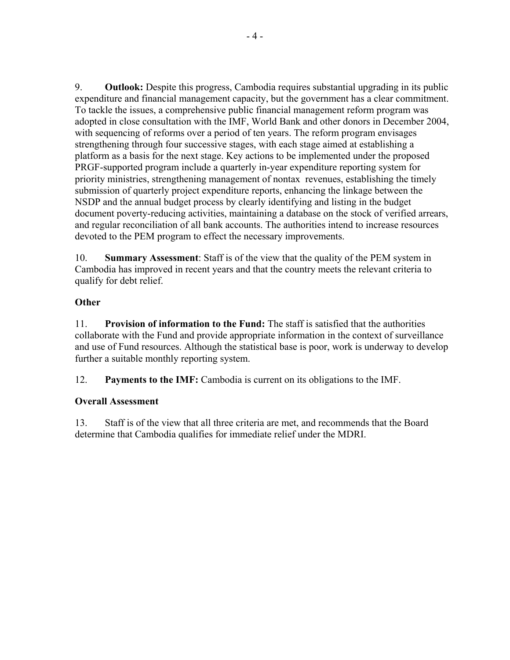9. **Outlook:** Despite this progress, Cambodia requires substantial upgrading in its public expenditure and financial management capacity, but the government has a clear commitment. To tackle the issues, a comprehensive public financial management reform program was adopted in close consultation with the IMF, World Bank and other donors in December 2004, with sequencing of reforms over a period of ten years. The reform program envisages strengthening through four successive stages, with each stage aimed at establishing a platform as a basis for the next stage. Key actions to be implemented under the proposed PRGF-supported program include a quarterly in-year expenditure reporting system for priority ministries, strengthening management of nontax revenues, establishing the timely submission of quarterly project expenditure reports, enhancing the linkage between the NSDP and the annual budget process by clearly identifying and listing in the budget document poverty-reducing activities, maintaining a database on the stock of verified arrears, and regular reconciliation of all bank accounts. The authorities intend to increase resources devoted to the PEM program to effect the necessary improvements.

10. **Summary Assessment**: Staff is of the view that the quality of the PEM system in Cambodia has improved in recent years and that the country meets the relevant criteria to qualify for debt relief.

## **Other**

11. **Provision of information to the Fund:** The staff is satisfied that the authorities collaborate with the Fund and provide appropriate information in the context of surveillance and use of Fund resources. Although the statistical base is poor, work is underway to develop further a suitable monthly reporting system.

12. **Payments to the IMF:** Cambodia is current on its obligations to the IMF.

## **Overall Assessment**

13. Staff is of the view that all three criteria are met, and recommends that the Board determine that Cambodia qualifies for immediate relief under the MDRI.